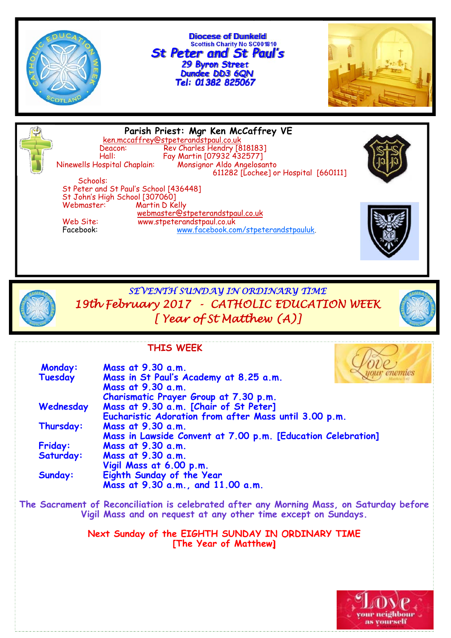

**Diocese of Dunkeld Scottish Charity No SC001810** *St Peter and St Paul's 29 Byron Street Dundee DD3 6QN*



**Parish Priest: Mgr Ken McCaffrey VE** ken.mccaffrey@stpeterandstpaul.co.uk<br>Deacon: Rev Charles Hendry [8 Deacon: Rev Charles Hendry [818183] Hall: Fay Martin [07932 432577] Ninewells Hospital Chaplain: Monsignor Aldo Angelosanto 611282 [Lochee] or Hospital [660111] Schools: St Peter and St Paul's School [436448] St John's High School [307060] Martin D Kelly webmaster@stpeterandstpaul.co.uk<br>Web Site: www.stpeterandstpaul.co.uk Web Site: www.stpeterandstpaul.co.uk<br>Facebook: www.facebook.co www.facebook.com/stpeterandstpauluk.



*SEVENTH SUNDAY IN ORDINARY TIME 19th February 2017 - CATHOLIC EDUCATION WEEK [ Year of St Matthew (A)]* 

### **THIS WEEK**

| <b>Monday:</b> | Mass at 9.30 a.m.                                              |
|----------------|----------------------------------------------------------------|
| Tuesday        | Mass in St Paul's Academy at 8.25 a.m.                         |
|                | Mass at 9.30 a.m.                                              |
|                | Charismatic Prayer Group at 7.30 p.m.                          |
| Wednesday      | Mass at 9.30 a.m. [Chair of St Peter]                          |
|                | Eucharistic Adoration from after Mass until 3.00 p.m.          |
| Thursday:      | Mass at 9.30 a.m.                                              |
|                | Mass in Lawside Convent at 7.00 p.m. [Education Celebration]   |
| <b>Friday:</b> | Mass at 9.30 a.m.                                              |
| Saturday:      | Mass at 9.30 a.m.                                              |
|                | Vigil Mass at 6.00 p.m.                                        |
| Sunday:        | Eighth Sunday of the Year<br>Mass at 9.30 a.m., and 11.00 a.m. |
|                |                                                                |

**The Sacrament of Reconciliation is celebrated after any Morning Mass, on Saturday before Vigil Mass and on request at any other time except on Sundays.** 

> **Next Sunday of the EIGHTH SUNDAY IN ORDINARY TIME [The Year of Matthew]**

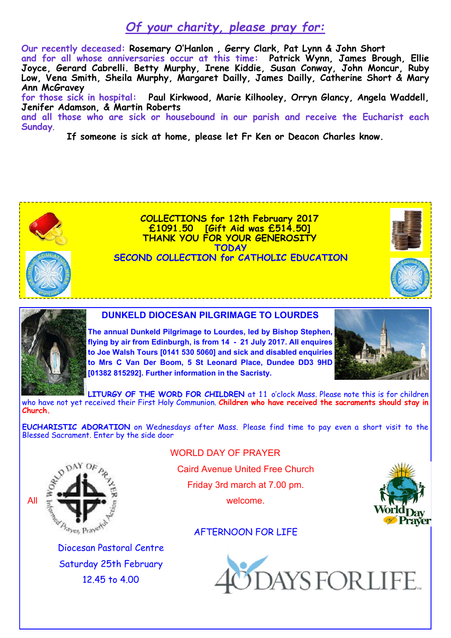# *Of your charity, please pray for:*

**Our recently deceased: Rosemary O'Hanlon , Gerry Clark, Pat Lynn & John Short**

**and for all whose anniversaries occur at this time: Patrick Wynn, James Brough, Ellie Joyce, Gerard Cabrelli. Betty Murphy, Irene Kiddie, Susan Conway, John Moncur, Ruby Low, Vena Smith, Sheila Murphy, Margaret Dailly, James Dailly, Catherine Short & Mary Ann McGravey** 

**for those sick in hospital: Paul Kirkwood, Marie Kilhooley, Orryn Glancy, Angela Waddell, Jenifer Adamson, & Martin Roberts** 

**and all those who are sick or housebound in our parish and receive the Eucharist each Sunday**.

**If someone is sick at home, please let Fr Ken or Deacon Charles know.** 



**COLLECTIONS for 12th February 2017 £1091.50 [Gift Aid was £514.50] THANK YOU FOR YOUR GENEROSITY TODAY SECOND COLLECTION for CATHOLIC EDUCATION** 





#### **DUNKELD DIOCESAN PILGRIMAGE TO LOURDES**

**The annual Dunkeld Pilgrimage to Lourdes, led by Bishop Stephen, flying by air from Edinburgh, is from 14 - 21 July 2017. All enquires to Joe Walsh Tours [0141 530 5060] and sick and disabled enquiries to Mrs C Van Der Boom, 5 St Leonard Place, Dundee DD3 9HD [01382 815292]. Further information in the Sacristy.** 



**LITURGY OF THE WORD FOR CHILDREN** at 11 o'clock Mass. Please note this is for children who have not yet received their First Holy Communion. **Children who have received the sacraments should stay in Church.**

**EUCHARISTIC ADORATION** on Wednesdays after Mass. Please find time to pay even a short visit to the Blessed Sacrament. Enter by the side door



WORLD DAY OF PRAYER

Caird Avenue United Free Church

Friday 3rd march at 7.00 pm.



### AFTERNOON FOR LIFE

Diocesan Pastoral Centre Saturday 25th February 12.45 to 4.00

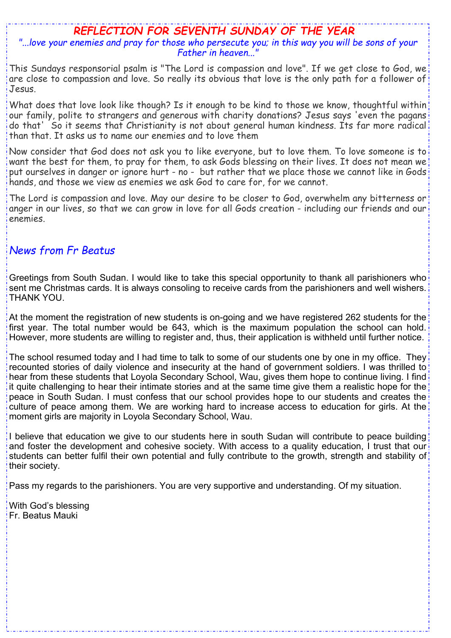# *REFLECTION FOR SEVENTH SUNDAY OF THE YEAR*

### *"...love your enemies and pray for those who persecute you; in this way you will be sons of your Father in heaven..."*

This Sundays responsorial psalm is "The Lord is compassion and love". If we get close to God, we are close to compassion and love. So really its obvious that love is the only path for a follower of Jesus.

What does that love look like though? Is it enough to be kind to those we know, thoughtful within our family, polite to strangers and generous with charity donations? Jesus says 'even the pagans do that' So it seems that Christianity is not about general human kindness. Its far more radical than that. It asks us to name our enemies and to love them

Now consider that God does not ask you to like everyone, but to love them. To love someone is to want the best for them, to pray for them, to ask Gods blessing on their lives. It does not mean we put ourselves in danger or ignore hurt - no - but rather that we place those we cannot like in Gods hands, and those we view as enemies we ask God to care for, for we cannot.

The Lord is compassion and love. May our desire to be closer to God, overwhelm any bitterness or anger in our lives, so that we can grow in love for all Gods creation - including our friends and our enemies.

### *News from Fr Beatus*

Greetings from South Sudan. I would like to take this special opportunity to thank all parishioners who sent me Christmas cards. It is always consoling to receive cards from the parishioners and well wishers. THANK YOU.

At the moment the registration of new students is on-going and we have registered 262 students for the first year. The total number would be 643, which is the maximum population the school can hold. However, more students are willing to register and, thus, their application is withheld until further notice.

The school resumed today and I had time to talk to some of our students one by one in my office. They recounted stories of daily violence and insecurity at the hand of government soldiers. I was thrilled to hear from these students that Loyola Secondary School, Wau, gives them hope to continue living. I find it quite challenging to hear their intimate stories and at the same time give them a realistic hope for the peace in South Sudan. I must confess that our school provides hope to our students and creates the culture of peace among them. We are working hard to increase access to education for girls. At the moment girls are majority in Loyola Secondary School, Wau.

I believe that education we give to our students here in south Sudan will contribute to peace building and foster the development and cohesive society. With access to a quality education, I trust that our students can better fulfil their own potential and fully contribute to the growth, strength and stability of their society.

Pass my regards to the parishioners. You are very supportive and understanding. Of my situation.

With God's blessing Fr. Beatus Mauki